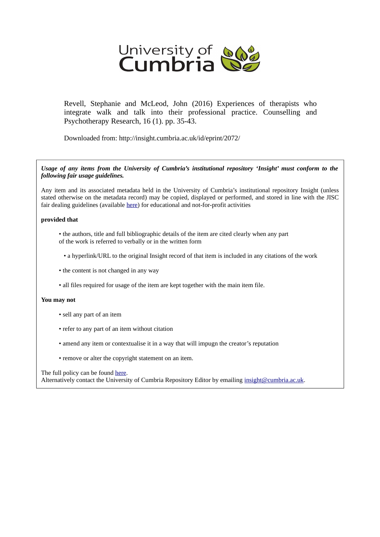

Revell, Stephanie and McLeod, John (2016) Experiences of therapists who integrate walk and talk into their professional practice. Counselling and Psychotherapy Research, 16 (1). pp. 35-43.

Downloaded from: http://insight.cumbria.ac.uk/id/eprint/2072/

*Usage of any items from the University of Cumbria's institutional repository 'Insight' must conform to the following fair usage guidelines.*

Any item and its associated metadata held in the University of Cumbria's institutional repository Insight (unless stated otherwise on the metadata record) may be copied, displayed or performed, and stored in line with the JISC fair dealing guidelines (available [here\)](http://www.ukoln.ac.uk/services/elib/papers/pa/fair/) for educational and not-for-profit activities

#### **provided that**

- the authors, title and full bibliographic details of the item are cited clearly when any part of the work is referred to verbally or in the written form
	- a hyperlink/URL to the original Insight record of that item is included in any citations of the work
- the content is not changed in any way
- all files required for usage of the item are kept together with the main item file.

#### **You may not**

- sell any part of an item
- refer to any part of an item without citation
- amend any item or contextualise it in a way that will impugn the creator's reputation
- remove or alter the copyright statement on an item.

#### The full policy can be found [here.](http://insight.cumbria.ac.uk/legal.html#section5)

Alternatively contact the University of Cumbria Repository Editor by emailing [insight@cumbria.ac.uk.](mailto:insight@cumbria.ac.uk)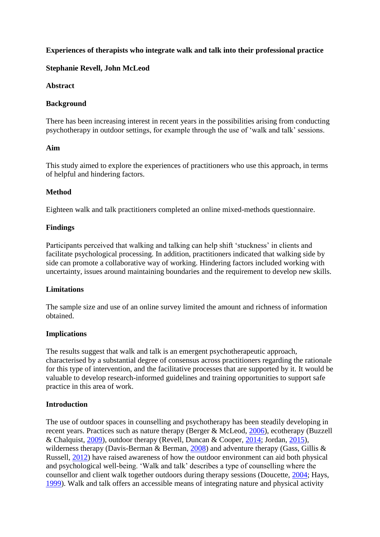# **Experiences of therapists who integrate walk and talk into their professional practice**

## **Stephanie Revell, John McLeod**

#### **Abstract**

### **Background**

There has been increasing interest in recent years in the possibilities arising from conducting psychotherapy in outdoor settings, for example through the use of 'walk and talk' sessions.

### **Aim**

This study aimed to explore the experiences of practitioners who use this approach, in terms of helpful and hindering factors.

### **Method**

Eighteen walk and talk practitioners completed an online mixed-methods questionnaire.

### **Findings**

Participants perceived that walking and talking can help shift 'stuckness' in clients and facilitate psychological processing. In addition, practitioners indicated that walking side by side can promote a collaborative way of working. Hindering factors included working with uncertainty, issues around maintaining boundaries and the requirement to develop new skills.

# **Limitations**

The sample size and use of an online survey limited the amount and richness of information obtained.

# **Implications**

The results suggest that walk and talk is an emergent psychotherapeutic approach, characterised by a substantial degree of consensus across practitioners regarding the rationale for this type of intervention, and the facilitative processes that are supported by it. It would be valuable to develop research-informed guidelines and training opportunities to support safe practice in this area of work.

# **Introduction**

The use of outdoor spaces in counselling and psychotherapy has been steadily developing in recent years. Practices such as nature therapy (Berger & McLeod, [2006\)](http://onlinelibrary.wiley.com/doi/10.1002/capr.12042/full#capr12042-bib-0002), ecotherapy (Buzzell & Chalquist, [2009\)](http://onlinelibrary.wiley.com/doi/10.1002/capr.12042/full#capr12042-bib-0004), outdoor therapy (Revell, Duncan & Cooper, [2014;](http://onlinelibrary.wiley.com/doi/10.1002/capr.12042/full#capr12042-bib-0024) Jordan, [2015\)](http://onlinelibrary.wiley.com/doi/10.1002/capr.12042/full#capr12042-bib-0501), wilderness therapy (Davis-Berman & Berman, [2008\)](http://onlinelibrary.wiley.com/doi/10.1002/capr.12042/full#capr12042-bib-0009) and adventure therapy (Gass, Gillis & Russell, [2012\)](http://onlinelibrary.wiley.com/doi/10.1002/capr.12042/full#capr12042-bib-0014) have raised awareness of how the outdoor environment can aid both physical and psychological well-being. 'Walk and talk' describes a type of counselling where the counsellor and client walk together outdoors during therapy sessions (Doucette, [2004;](http://onlinelibrary.wiley.com/doi/10.1002/capr.12042/full#capr12042-bib-0010) Hays, [1999\)](http://onlinelibrary.wiley.com/doi/10.1002/capr.12042/full#capr12042-bib-0015). Walk and talk offers an accessible means of integrating nature and physical activity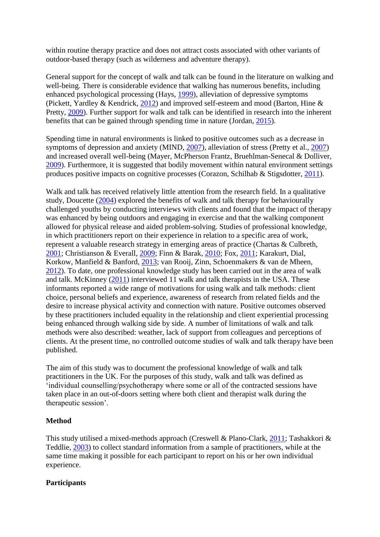within routine therapy practice and does not attract costs associated with other variants of outdoor-based therapy (such as wilderness and adventure therapy).

General support for the concept of walk and talk can be found in the literature on walking and well-being. There is considerable evidence that walking has numerous benefits, including enhanced psychological processing (Hays, [1999\)](http://onlinelibrary.wiley.com/doi/10.1002/capr.12042/full#capr12042-bib-0015), alleviation of depressive symptoms (Pickett, Yardley & Kendrick, [2012\)](http://onlinelibrary.wiley.com/doi/10.1002/capr.12042/full#capr12042-bib-0022) and improved self-esteem and mood (Barton, Hine & Pretty, [2009\)](http://onlinelibrary.wiley.com/doi/10.1002/capr.12042/full#capr12042-bib-0001). Further support for walk and talk can be identified in research into the inherent benefits that can be gained through spending time in nature (Jordan, [2015\)](http://onlinelibrary.wiley.com/doi/10.1002/capr.12042/full#capr12042-bib-0501).

Spending time in natural environments is linked to positive outcomes such as a decrease in symptoms of depression and anxiety (MIND, [2007\)](http://onlinelibrary.wiley.com/doi/10.1002/capr.12042/full#capr12042-bib-0021), alleviation of stress (Pretty et al., [2007\)](http://onlinelibrary.wiley.com/doi/10.1002/capr.12042/full#capr12042-bib-0023) and increased overall well-being (Mayer, McPherson Frantz, Bruehlman-Senecal & Dolliver, [2009\)](http://onlinelibrary.wiley.com/doi/10.1002/capr.12042/full#capr12042-bib-0019). Furthermore, it is suggested that bodily movement within natural environment settings produces positive impacts on cognitive processes (Corazon, Schilhab & Stigsdotter, [2011\)](http://onlinelibrary.wiley.com/doi/10.1002/capr.12042/full#capr12042-bib-0007).

Walk and talk has received relatively little attention from the research field. In a qualitative study, Doucette [\(2004\)](http://onlinelibrary.wiley.com/doi/10.1002/capr.12042/full#capr12042-bib-0010) explored the benefits of walk and talk therapy for behaviourally challenged youths by conducting interviews with clients and found that the impact of therapy was enhanced by being outdoors and engaging in exercise and that the walking component allowed for physical release and aided problem-solving. Studies of professional knowledge, in which practitioners report on their experience in relation to a specific area of work, represent a valuable research strategy in emerging areas of practice (Chartas & Culbreth, [2001;](http://onlinelibrary.wiley.com/doi/10.1002/capr.12042/full#capr12042-bib-0005) Christianson & Everall, [2009;](http://onlinelibrary.wiley.com/doi/10.1002/capr.12042/full#capr12042-bib-0006) Finn & Barak, [2010;](http://onlinelibrary.wiley.com/doi/10.1002/capr.12042/full#capr12042-bib-0012) Fox, [2011;](http://onlinelibrary.wiley.com/doi/10.1002/capr.12042/full#capr12042-bib-0013) Karakurt, Dial, Korkow, Manfield & Banford, [2013;](http://onlinelibrary.wiley.com/doi/10.1002/capr.12042/full#capr12042-bib-0017) van Rooij, Zinn, Schoenmakers & van de Mheen, [2012\)](http://onlinelibrary.wiley.com/doi/10.1002/capr.12042/full#capr12042-bib-0025). To date, one professional knowledge study has been carried out in the area of walk and talk. McKinney [\(2011\)](http://onlinelibrary.wiley.com/doi/10.1002/capr.12042/full#capr12042-bib-0020) interviewed 11 walk and talk therapists in the USA. These informants reported a wide range of motivations for using walk and talk methods: client choice, personal beliefs and experience, awareness of research from related fields and the desire to increase physical activity and connection with nature. Positive outcomes observed by these practitioners included equality in the relationship and client experiential processing being enhanced through walking side by side. A number of limitations of walk and talk methods were also described: weather, lack of support from colleagues and perceptions of clients. At the present time, no controlled outcome studies of walk and talk therapy have been published.

The aim of this study was to document the professional knowledge of walk and talk practitioners in the UK. For the purposes of this study, walk and talk was defined as 'individual counselling/psychotherapy where some or all of the contracted sessions have taken place in an out-of-doors setting where both client and therapist walk during the therapeutic session'.

# **Method**

This study utilised a mixed-methods approach (Creswell & Plano-Clark, [2011;](http://onlinelibrary.wiley.com/doi/10.1002/capr.12042/full#capr12042-bib-0008) Tashakkori & Teddlie, [2003\)](http://onlinelibrary.wiley.com/doi/10.1002/capr.12042/full#capr12042-bib-0026) to collect standard information from a sample of practitioners, while at the same time making it possible for each participant to report on his or her own individual experience.

#### **Participants**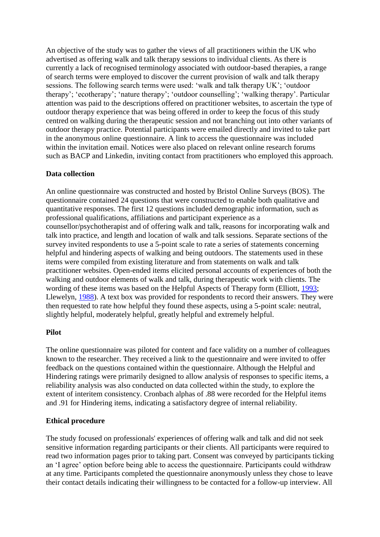An objective of the study was to gather the views of all practitioners within the UK who advertised as offering walk and talk therapy sessions to individual clients. As there is currently a lack of recognised terminology associated with outdoor-based therapies, a range of search terms were employed to discover the current provision of walk and talk therapy sessions. The following search terms were used: 'walk and talk therapy UK'; 'outdoor therapy'; 'ecotherapy'; 'nature therapy'; 'outdoor counselling'; 'walking therapy'. Particular attention was paid to the descriptions offered on practitioner websites, to ascertain the type of outdoor therapy experience that was being offered in order to keep the focus of this study centred on walking during the therapeutic session and not branching out into other variants of outdoor therapy practice. Potential participants were emailed directly and invited to take part in the anonymous online questionnaire. A link to access the questionnaire was included within the invitation email. Notices were also placed on relevant online research forums such as BACP and Linkedin, inviting contact from practitioners who employed this approach.

### **Data collection**

An online questionnaire was constructed and hosted by Bristol Online Surveys (BOS). The questionnaire contained 24 questions that were constructed to enable both qualitative and quantitative responses. The first 12 questions included demographic information, such as professional qualifications, affiliations and participant experience as a counsellor/psychotherapist and of offering walk and talk, reasons for incorporating walk and talk into practice, and length and location of walk and talk sessions. Separate sections of the survey invited respondents to use a 5-point scale to rate a series of statements concerning helpful and hindering aspects of walking and being outdoors. The statements used in these items were compiled from existing literature and from statements on walk and talk practitioner websites. Open-ended items elicited personal accounts of experiences of both the walking and outdoor elements of walk and talk, during therapeutic work with clients. The wording of these items was based on the Helpful Aspects of Therapy form (Elliott, [1993;](http://onlinelibrary.wiley.com/doi/10.1002/capr.12042/full#capr12042-bib-0011) Llewelyn, [1988\)](http://onlinelibrary.wiley.com/doi/10.1002/capr.12042/full#capr12042-bib-0018). A text box was provided for respondents to record their answers. They were then requested to rate how helpful they found these aspects, using a 5-point scale: neutral, slightly helpful, moderately helpful, greatly helpful and extremely helpful.

#### **Pilot**

The online questionnaire was piloted for content and face validity on a number of colleagues known to the researcher. They received a link to the questionnaire and were invited to offer feedback on the questions contained within the questionnaire. Although the Helpful and Hindering ratings were primarily designed to allow analysis of responses to specific items, a reliability analysis was also conducted on data collected within the study, to explore the extent of interitem consistency. Cronbach alphas of .88 were recorded for the Helpful items and .91 for Hindering items, indicating a satisfactory degree of internal reliability.

#### **Ethical procedure**

The study focused on professionals' experiences of offering walk and talk and did not seek sensitive information regarding participants or their clients. All participants were required to read two information pages prior to taking part. Consent was conveyed by participants ticking an 'I agree' option before being able to access the questionnaire. Participants could withdraw at any time. Participants completed the questionnaire anonymously unless they chose to leave their contact details indicating their willingness to be contacted for a follow-up interview. All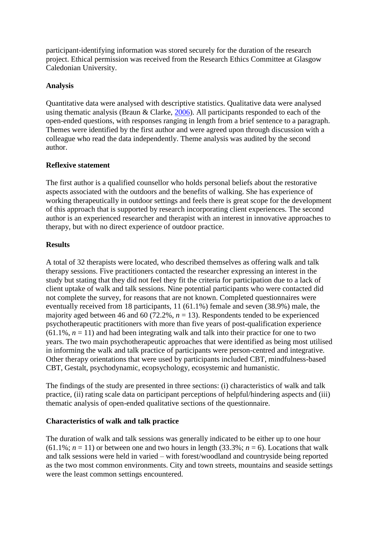participant-identifying information was stored securely for the duration of the research project. Ethical permission was received from the Research Ethics Committee at Glasgow Caledonian University.

# **Analysis**

Quantitative data were analysed with descriptive statistics. Qualitative data were analysed using thematic analysis (Braun & Clarke,  $2006$ ). All participants responded to each of the open-ended questions, with responses ranging in length from a brief sentence to a paragraph. Themes were identified by the first author and were agreed upon through discussion with a colleague who read the data independently. Theme analysis was audited by the second author.

### **Reflexive statement**

The first author is a qualified counsellor who holds personal beliefs about the restorative aspects associated with the outdoors and the benefits of walking. She has experience of working therapeutically in outdoor settings and feels there is great scope for the development of this approach that is supported by research incorporating client experiences. The second author is an experienced researcher and therapist with an interest in innovative approaches to therapy, but with no direct experience of outdoor practice.

### **Results**

A total of 32 therapists were located, who described themselves as offering walk and talk therapy sessions. Five practitioners contacted the researcher expressing an interest in the study but stating that they did not feel they fit the criteria for participation due to a lack of client uptake of walk and talk sessions. Nine potential participants who were contacted did not complete the survey, for reasons that are not known. Completed questionnaires were eventually received from 18 participants, 11 (61.1%) female and seven (38.9%) male, the majority aged between 46 and 60 (72.2%,  $n = 13$ ). Respondents tended to be experienced psychotherapeutic practitioners with more than five years of post-qualification experience  $(61.1\%, n = 11)$  and had been integrating walk and talk into their practice for one to two years. The two main psychotherapeutic approaches that were identified as being most utilised in informing the walk and talk practice of participants were person-centred and integrative. Other therapy orientations that were used by participants included CBT, mindfulness-based CBT, Gestalt, psychodynamic, ecopsychology, ecosystemic and humanistic.

The findings of the study are presented in three sections: (i) characteristics of walk and talk practice, (ii) rating scale data on participant perceptions of helpful/hindering aspects and (iii) thematic analysis of open-ended qualitative sections of the questionnaire.

#### **Characteristics of walk and talk practice**

The duration of walk and talk sessions was generally indicated to be either up to one hour  $(61.1\%; n = 11)$  or between one and two hours in length  $(33.3\%; n = 6)$ . Locations that walk and talk sessions were held in varied – with forest/woodland and countryside being reported as the two most common environments. City and town streets, mountains and seaside settings were the least common settings encountered.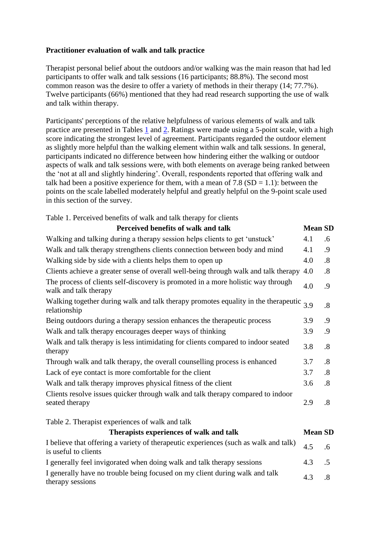# **Practitioner evaluation of walk and talk practice**

Therapist personal belief about the outdoors and/or walking was the main reason that had led participants to offer walk and talk sessions (16 participants; 88.8%). The second most common reason was the desire to offer a variety of methods in their therapy (14; 77.7%). Twelve participants (66%) mentioned that they had read research supporting the use of walk and talk within therapy.

Participants' perceptions of the relative helpfulness of various elements of walk and talk practice are presented in Tables [1](http://onlinelibrary.wiley.com/doi/10.1002/capr.12042/full#capr12042-tbl-0001) and [2.](http://onlinelibrary.wiley.com/doi/10.1002/capr.12042/full#capr12042-tbl-0002) Ratings were made using a 5-point scale, with a high score indicating the strongest level of agreement. Participants regarded the outdoor element as slightly more helpful than the walking element within walk and talk sessions. In general, participants indicated no difference between how hindering either the walking or outdoor aspects of walk and talk sessions were, with both elements on average being ranked between the 'not at all and slightly hindering'. Overall, respondents reported that offering walk and talk had been a positive experience for them, with a mean of 7.8 ( $SD = 1.1$ ): between the points on the scale labelled moderately helpful and greatly helpful on the 9-point scale used in this section of the survey.

Table 1. Perceived benefits of walk and talk therapy for clients

| Perceived benefits of walk and talk                                                                       | <b>Mean SD</b> |                   |
|-----------------------------------------------------------------------------------------------------------|----------------|-------------------|
| Walking and talking during a therapy session helps clients to get 'unstuck'                               | 4.1            | .6                |
| Walk and talk therapy strengthens clients connection between body and mind                                | 4.1            | .9                |
| Walking side by side with a clients helps them to open up                                                 | 4.0            | $\boldsymbol{.8}$ |
| Clients achieve a greater sense of overall well-being through walk and talk therapy                       | 4.0            | .8                |
| The process of clients self-discovery is promoted in a more holistic way through<br>walk and talk therapy | 4.0            | .9                |
| Walking together during walk and talk therapy promotes equality in the therapeutic<br>relationship        | 3.9            | $\boldsymbol{.8}$ |
| Being outdoors during a therapy session enhances the therapeutic process                                  | 3.9            | .9                |
| Walk and talk therapy encourages deeper ways of thinking                                                  | 3.9            | .9                |
| Walk and talk therapy is less intimidating for clients compared to indoor seated<br>therapy               | 3.8            | .8                |
| Through walk and talk therapy, the overall counselling process is enhanced                                | 3.7            | $\boldsymbol{.8}$ |
| Lack of eye contact is more comfortable for the client                                                    | 3.7            | $\boldsymbol{.8}$ |
| Walk and talk therapy improves physical fitness of the client                                             | 3.6            | $\boldsymbol{.8}$ |
| Clients resolve issues quicker through walk and talk therapy compared to indoor<br>seated therapy         | 2.9            | $\boldsymbol{.8}$ |
| Table 2. Therapist experiences of walk and talk                                                           |                |                   |
| Therapists experiences of walk and talk                                                                   | <b>Mean SD</b> |                   |

| I believe that offering a variety of the rapeutic experiences (such as walk and talk)<br>is useful to clients | 4.5           |  |
|---------------------------------------------------------------------------------------------------------------|---------------|--|
| I generally feel invigorated when doing walk and talk therapy sessions                                        | 4.3 .5        |  |
| I generally have no trouble being focused on my client during walk and talk<br>therapy sessions               | $4.3 \quad 8$ |  |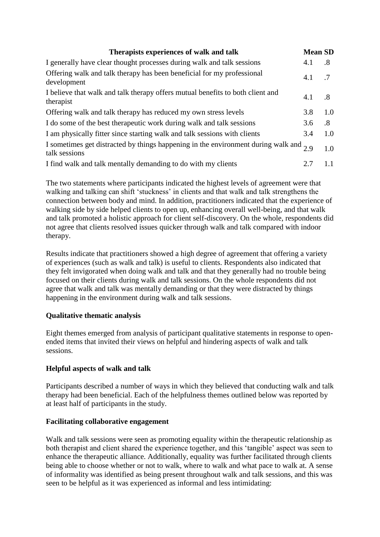| Therapists experiences of walk and talk                                                                     | <b>Mean SD</b> |        |
|-------------------------------------------------------------------------------------------------------------|----------------|--------|
| I generally have clear thought processes during walk and talk sessions                                      | 4.1            | .8     |
| Offering walk and talk therapy has been beneficial for my professional<br>development                       | 4.1            | .7     |
| I believe that walk and talk therapy offers mutual benefits to both client and<br>therapist                 | 4.1            | .8     |
| Offering walk and talk therapy has reduced my own stress levels                                             | 3.8            | 1.0    |
| I do some of the best therapeutic work during walk and talk sessions                                        | 3.6            | $.8\,$ |
| I am physically fitter since starting walk and talk sessions with clients                                   | 3.4            | 1.0    |
| I sometimes get distracted by things happening in the environment during walk and $_{2.9}$<br>talk sessions |                | 1.0    |
| I find walk and talk mentally demanding to do with my clients                                               | 2.7            | 11     |

The two statements where participants indicated the highest levels of agreement were that walking and talking can shift 'stuckness' in clients and that walk and talk strengthens the connection between body and mind. In addition, practitioners indicated that the experience of walking side by side helped clients to open up, enhancing overall well-being, and that walk and talk promoted a holistic approach for client self-discovery. On the whole, respondents did not agree that clients resolved issues quicker through walk and talk compared with indoor therapy.

Results indicate that practitioners showed a high degree of agreement that offering a variety of experiences (such as walk and talk) is useful to clients. Respondents also indicated that they felt invigorated when doing walk and talk and that they generally had no trouble being focused on their clients during walk and talk sessions. On the whole respondents did not agree that walk and talk was mentally demanding or that they were distracted by things happening in the environment during walk and talk sessions.

# **Qualitative thematic analysis**

Eight themes emerged from analysis of participant qualitative statements in response to openended items that invited their views on helpful and hindering aspects of walk and talk sessions.

# **Helpful aspects of walk and talk**

Participants described a number of ways in which they believed that conducting walk and talk therapy had been beneficial. Each of the helpfulness themes outlined below was reported by at least half of participants in the study.

# **Facilitating collaborative engagement**

Walk and talk sessions were seen as promoting equality within the therapeutic relationship as both therapist and client shared the experience together, and this 'tangible' aspect was seen to enhance the therapeutic alliance. Additionally, equality was further facilitated through clients being able to choose whether or not to walk, where to walk and what pace to walk at. A sense of informality was identified as being present throughout walk and talk sessions, and this was seen to be helpful as it was experienced as informal and less intimidating: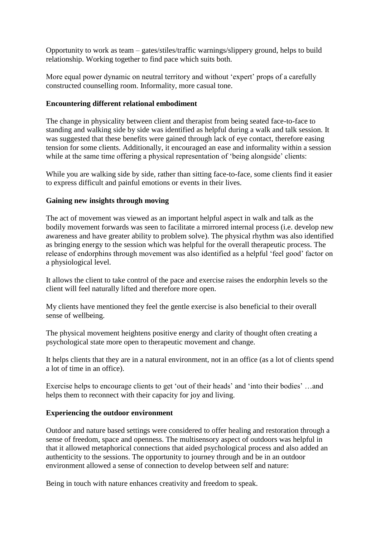Opportunity to work as team – gates/stiles/traffic warnings/slippery ground, helps to build relationship. Working together to find pace which suits both.

More equal power dynamic on neutral territory and without 'expert' props of a carefully constructed counselling room. Informality, more casual tone.

### **Encountering different relational embodiment**

The change in physicality between client and therapist from being seated face-to-face to standing and walking side by side was identified as helpful during a walk and talk session. It was suggested that these benefits were gained through lack of eye contact, therefore easing tension for some clients. Additionally, it encouraged an ease and informality within a session while at the same time offering a physical representation of 'being alongside' clients:

While you are walking side by side, rather than sitting face-to-face, some clients find it easier to express difficult and painful emotions or events in their lives.

### **Gaining new insights through moving**

The act of movement was viewed as an important helpful aspect in walk and talk as the bodily movement forwards was seen to facilitate a mirrored internal process (i.e. develop new awareness and have greater ability to problem solve). The physical rhythm was also identified as bringing energy to the session which was helpful for the overall therapeutic process. The release of endorphins through movement was also identified as a helpful 'feel good' factor on a physiological level.

It allows the client to take control of the pace and exercise raises the endorphin levels so the client will feel naturally lifted and therefore more open.

My clients have mentioned they feel the gentle exercise is also beneficial to their overall sense of wellbeing.

The physical movement heightens positive energy and clarity of thought often creating a psychological state more open to therapeutic movement and change.

It helps clients that they are in a natural environment, not in an office (as a lot of clients spend a lot of time in an office).

Exercise helps to encourage clients to get 'out of their heads' and 'into their bodies' …and helps them to reconnect with their capacity for joy and living.

#### **Experiencing the outdoor environment**

Outdoor and nature based settings were considered to offer healing and restoration through a sense of freedom, space and openness. The multisensory aspect of outdoors was helpful in that it allowed metaphorical connections that aided psychological process and also added an authenticity to the sessions. The opportunity to journey through and be in an outdoor environment allowed a sense of connection to develop between self and nature:

Being in touch with nature enhances creativity and freedom to speak.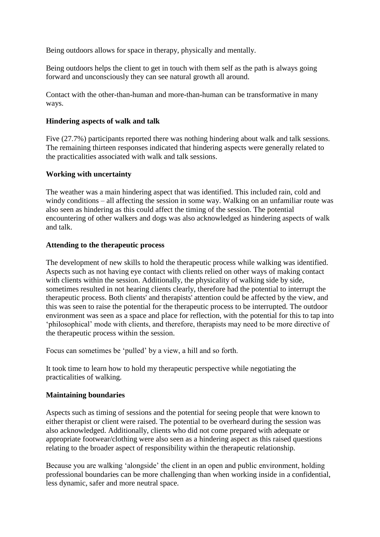Being outdoors allows for space in therapy, physically and mentally.

Being outdoors helps the client to get in touch with them self as the path is always going forward and unconsciously they can see natural growth all around.

Contact with the other-than-human and more-than-human can be transformative in many ways.

#### **Hindering aspects of walk and talk**

Five (27.7%) participants reported there was nothing hindering about walk and talk sessions. The remaining thirteen responses indicated that hindering aspects were generally related to the practicalities associated with walk and talk sessions.

### **Working with uncertainty**

The weather was a main hindering aspect that was identified. This included rain, cold and windy conditions – all affecting the session in some way. Walking on an unfamiliar route was also seen as hindering as this could affect the timing of the session. The potential encountering of other walkers and dogs was also acknowledged as hindering aspects of walk and talk.

### **Attending to the therapeutic process**

The development of new skills to hold the therapeutic process while walking was identified. Aspects such as not having eye contact with clients relied on other ways of making contact with clients within the session. Additionally, the physicality of walking side by side, sometimes resulted in not hearing clients clearly, therefore had the potential to interrupt the therapeutic process. Both clients' and therapists' attention could be affected by the view, and this was seen to raise the potential for the therapeutic process to be interrupted. The outdoor environment was seen as a space and place for reflection, with the potential for this to tap into 'philosophical' mode with clients, and therefore, therapists may need to be more directive of the therapeutic process within the session.

Focus can sometimes be 'pulled' by a view, a hill and so forth.

It took time to learn how to hold my therapeutic perspective while negotiating the practicalities of walking.

# **Maintaining boundaries**

Aspects such as timing of sessions and the potential for seeing people that were known to either therapist or client were raised. The potential to be overheard during the session was also acknowledged. Additionally, clients who did not come prepared with adequate or appropriate footwear/clothing were also seen as a hindering aspect as this raised questions relating to the broader aspect of responsibility within the therapeutic relationship.

Because you are walking 'alongside' the client in an open and public environment, holding professional boundaries can be more challenging than when working inside in a confidential, less dynamic, safer and more neutral space.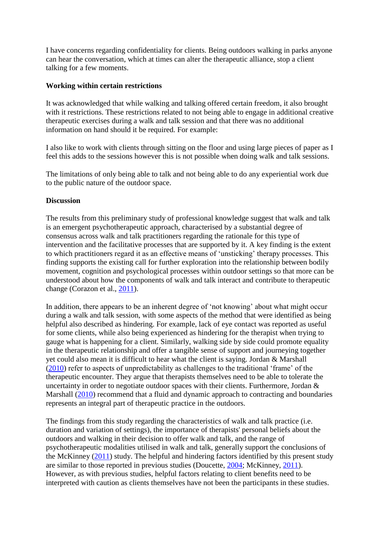I have concerns regarding confidentiality for clients. Being outdoors walking in parks anyone can hear the conversation, which at times can alter the therapeutic alliance, stop a client talking for a few moments.

#### **Working within certain restrictions**

It was acknowledged that while walking and talking offered certain freedom, it also brought with it restrictions. These restrictions related to not being able to engage in additional creative therapeutic exercises during a walk and talk session and that there was no additional information on hand should it be required. For example:

I also like to work with clients through sitting on the floor and using large pieces of paper as I feel this adds to the sessions however this is not possible when doing walk and talk sessions.

The limitations of only being able to talk and not being able to do any experiential work due to the public nature of the outdoor space.

### **Discussion**

The results from this preliminary study of professional knowledge suggest that walk and talk is an emergent psychotherapeutic approach, characterised by a substantial degree of consensus across walk and talk practitioners regarding the rationale for this type of intervention and the facilitative processes that are supported by it. A key finding is the extent to which practitioners regard it as an effective means of 'unsticking' therapy processes. This finding supports the existing call for further exploration into the relationship between bodily movement, cognition and psychological processes within outdoor settings so that more can be understood about how the components of walk and talk interact and contribute to therapeutic change (Corazon et al., [2011\)](http://onlinelibrary.wiley.com/doi/10.1002/capr.12042/full#capr12042-bib-0007).

In addition, there appears to be an inherent degree of 'not knowing' about what might occur during a walk and talk session, with some aspects of the method that were identified as being helpful also described as hindering. For example, lack of eye contact was reported as useful for some clients, while also being experienced as hindering for the therapist when trying to gauge what is happening for a client. Similarly, walking side by side could promote equality in the therapeutic relationship and offer a tangible sense of support and journeying together yet could also mean it is difficult to hear what the client is saying. Jordan & Marshall [\(2010\)](http://onlinelibrary.wiley.com/doi/10.1002/capr.12042/full#capr12042-bib-0016) refer to aspects of unpredictability as challenges to the traditional 'frame' of the therapeutic encounter. They argue that therapists themselves need to be able to tolerate the uncertainty in order to negotiate outdoor spaces with their clients. Furthermore, Jordan & Marshall [\(2010\)](http://onlinelibrary.wiley.com/doi/10.1002/capr.12042/full#capr12042-bib-0016) recommend that a fluid and dynamic approach to contracting and boundaries represents an integral part of therapeutic practice in the outdoors.

The findings from this study regarding the characteristics of walk and talk practice (i.e. duration and variation of settings), the importance of therapists' personal beliefs about the outdoors and walking in their decision to offer walk and talk, and the range of psychotherapeutic modalities utilised in walk and talk, generally support the conclusions of the McKinney [\(2011\)](http://onlinelibrary.wiley.com/doi/10.1002/capr.12042/full#capr12042-bib-0020) study. The helpful and hindering factors identified by this present study are similar to those reported in previous studies (Doucette, [2004;](http://onlinelibrary.wiley.com/doi/10.1002/capr.12042/full#capr12042-bib-0010) McKinney, [2011\)](http://onlinelibrary.wiley.com/doi/10.1002/capr.12042/full#capr12042-bib-0020). However, as with previous studies, helpful factors relating to client benefits need to be interpreted with caution as clients themselves have not been the participants in these studies.